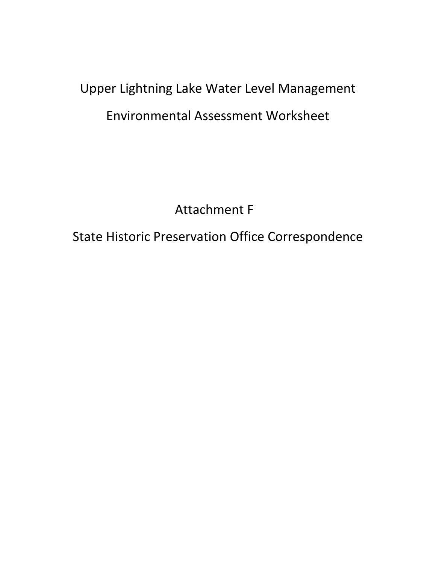## Upper Lightning Lake Water Level Management Environmental Assessment Worksheet

Attachment F

State Historic Preservation Office Correspondence